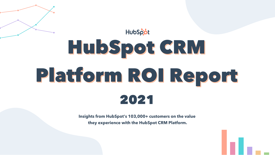**Insights from HubSpot's 103,000+ customers on the value they experience with the HubSpot CRM Platform.**





# HubSpot HubSpot CRM HubSpot CRM Platform ROI Report Platform ROI Report2021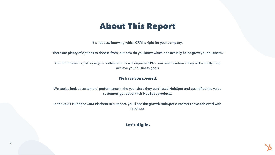#### About This Report

It's not easy knowing which CRM is right for your company.

There are plenty of options to choose from, but how do you know which one actually helps grow your business?

You don't have to just hope your software tools will improve KPIs – you need evidence they will actually help achieve your business goals.

#### We have you covered.

We took a look at customers' performance in the year since they purchased HubSpot and quantified the value customers get out of their HubSpot products.

In the 2021 HubSpot CRM Platform ROI Report, you'll see the growth HubSpot customers have achieved with HubSpot.

#### Let's dig in.

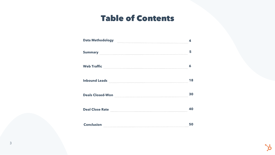#### Table of Contents

| <b>Data Methodology</b> | ◢  |
|-------------------------|----|
| <b>Summary</b>          | 5  |
| <b>Web Traffic</b>      | 6  |
| <b>Inbound Leads</b>    | 18 |
| <b>Deals Closed-Won</b> | 30 |
| <b>Deal Close Rate</b>  | 40 |
| <b>Conclusion</b>       | 50 |



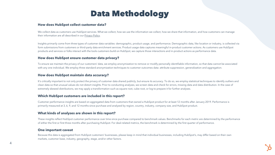#### Data Methodology

#### **How does HubSpot collect customer data?**

We collect data as customers use HubSpot services. What we collect, how we use the information we collect, how we share that information, and how customers can manage their information are all described in our [Privacy](https://legal.hubspot.com/privacy-policy) Policy.

Insights primarily come from three types of customer data variables: demographic, product usage, and performance. Demographic data, like location or industry, is collected via form submissions from customers or third-party data enrichment services. Product usage data captures meaningful in-product customer actions. As customers use HubSpot products and services or folks interact with the tools customers build on HubSpot, we capture those interactions and in-product actions as performance data.

#### **How does HubSpot ensure customer data privacy?**

#### **How does HubSpot maintain data accuracy?**

#### **Which HubSpot customers are included in this report?**

To ensure we maintain the privacy of our customers' data, we employ anonymization to remove or modify personally identifiable information, so that data cannot be associated with any one individual. We employ three standard anonymization techniques to customer outcomes data: attribute suppression, generalization and aggregation.

It's critically important to not only protect the privacy of customer data shared publicly, but ensure its accuracy. To do so, we employ statistical techniques to identify outliers and clean data so that unusual values do not distort insights. Prior to conducting analyses, we screen data and check for errors, missing data and data distribution. In the case of extremely skewed distributions, we may apply a transformation such as square root, cube root, or log to prepare it for further analyses.

Customer performance insights are based on aggregated data from customers that owned a HubSpot product for at least 12 months after January 2019. Performance is primarily measured at 3, 6, 9, and 12 months since purchase and analyzed by region, country, industry, company size, and HubSpot product.

#### **What kinds of analyses are shown in this report?**

These insights reflect HubSpot customer performance over time since purchase compared to benchmark values. Benchmarks for each metric are determined by the performance of either the first or first three months after purchasing HubSpot. For deal-related metrics, the benchmark is determined by the first quarter of performance.



#### **One important caveat**

Because this data is aggregated from HubSpot customers' businesses, please keep in mind that individual businesses, including HubSpot's, may differ based on their own markets, customer base, industry, geography, stage, and/or other factors.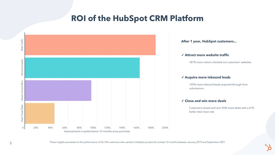

#### **ROI of the HubSpot CRM Platform**

These insights are based on the performance of 36,144 customers who owned a HubSpot product for at least 12 months between January 2019 and September 2021.

181% more visitors checked out customers' websites

#### ✓ **Attract more website traffic**

#### ✓ **Acquire more inbound leads**

#### ✓ **Close and win more deals**

159% more inbound leads acquired through form submissions

Customers closed and won 92% more deals with a 41% better deal close rate



**After 1 year, HubSpot customers...**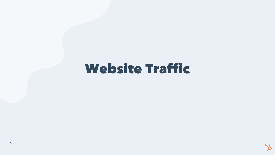## Website Traffic



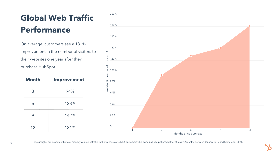## **Global Web Traffic Performance**

On average, customers see a 181% improvement in the number of visitors to their websites one year after they purchase HubSpot.

| <b>Month</b> | <b>Improvement</b> |
|--------------|--------------------|
| 3            | 94%                |
| 6            | 128%               |
| 9            | 142%               |
| 12           | 181%               |

These insights are based on the total monthly volume of traffic to the websites of 33,366 customers who owned a HubSpot product for at least 12 months between January 2019 and September 2021.

|                                 | 200%           |  |   |
|---------------------------------|----------------|--|---|
|                                 |                |  |   |
|                                 | 180%           |  |   |
|                                 |                |  |   |
|                                 | 160%           |  |   |
|                                 |                |  |   |
|                                 | 140%           |  |   |
| Web traffic compared to month 1 | 120%           |  |   |
|                                 |                |  |   |
|                                 | 100%           |  |   |
|                                 |                |  |   |
|                                 | 80%            |  |   |
|                                 | 60%            |  |   |
|                                 |                |  |   |
|                                 | 40%            |  |   |
|                                 |                |  |   |
|                                 | 20%            |  |   |
|                                 |                |  |   |
|                                 | $\overline{0}$ |  | 3 |



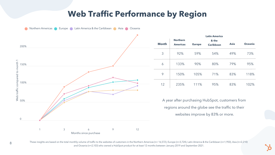#### **Web Traffic Performance by Region**

| onth | <b>Northern</b><br><b>Americas</b> | <b>Europe</b> | <b>Latin America</b><br>& the<br><b>Caribbean</b> | <b>Asia</b> | <b>Oceania</b> |
|------|------------------------------------|---------------|---------------------------------------------------|-------------|----------------|
| 3    | 92%                                | 59%           | 54%                                               | 49%         | 73%            |
| 6    | 133%                               | 90%           | 80%                                               | 79%         | 95%            |
| 9    | 150%                               | 105%          | 71%                                               | 83%         | 118%           |
| 12   | 235%                               | 111%          | 95%                                               | 83%         | 102%           |

A year after purchasing HubSpot, customers from regions around the globe see the traffic to their websites improve by 83% or more.





These insights are based on the total monthly volume of traffic to the websites of customers in the Northern Americas (n= 16,572), Europe (n=3,724), Latin America & the Caribbean (n=1,950), Asia (n=2,210) and Oceania (n=2,103) who owned a HubSpot product for at least 12 months between January 2019 and September 2021.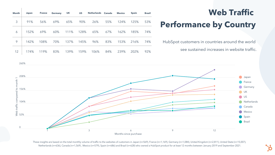260%



## **Web Traffic Performance by Country**

| <b>Month</b> | <b>Japan</b> | <b>France</b> | <b>Germany</b> | <b>UK</b> | <b>US</b> | <b>Netherlands Canada</b> |     | <b>Mexico</b> | <b>Spain</b> | <b>Brazil</b> |
|--------------|--------------|---------------|----------------|-----------|-----------|---------------------------|-----|---------------|--------------|---------------|
| 3            | 91%          | 56%           | 69%            | 65%       | 90%       | 26%                       | 55% | 124%          | 125%         | 53%           |
| 6            | 152%         | 69%           | 60%            | 111%      | 128%      | 65%                       | 67% | 162%          | 185%         | 74%           |
| 9            | 142%         | 108%          | 70%            | 137%      | 145%      | 96%                       | 83% | 153%          | 216%         | 74%           |
| 12           | 174%         | 119%          | 83%            | 139%      | 159%      | 106%                      | 84% | 239%          | 202%         | 92%           |

HubSpot customers in countries around the world see sustained increases in website traffic.

These insights are based on the total monthly volume of traffic to the websites of customers in Japan (n=569), France (n=1,169), Germany (n=1,084), United Kingdom (n=2,811), United State (n=15,007), Netherlands (n=636), Canada (n=1,569) , Mexico (n=579), Spain (n=686) and Brazil (n=628) who owned a HubSpot product for at least 12 months between January 2019 and September 2021.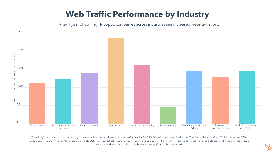

#### **Web Traffic Performance by Industry**

After 1 year of owning HubSpot, companies across industries see increased website visitors.

These insights are based on the total monthly volume of traffic to the websites of customers in Construction (n= 358), Education and Health Services (n= 896), Financial Activities (n= 976), Information (n= 2,394), Leisure and Hospitality (n= 278), Manufacturing (n= 1,013), Other Services & Public Admin (n= 254), Professional and Business Services (n= 3,702), Trade, Transportation and Utilities (n= 960) industry that owned a HubSpot product for at least 12 months between January 2019 and September 2021.



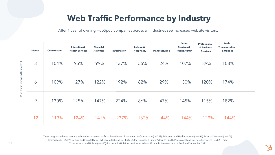

After 1 year of owning HubSpot, companies across all industries see increased website visitors.

These insights are based on the total monthly volume of traffic to the websites of customers in Construction (n= 358), Education and Health Services (n= 896), Financial Activities (n= 976), Information (n= 2,394), Leisure and Hospitality (n= 278), Manufacturing (n= 1,013), Other Services & Public Admin (n= 254) , Professional and Business Services (n= 3,702), Trade Transportation and Utilities (n= 960) that owned a HubSpot product for at least 12 months between January 2019 and September 2021.

|                               | <b>Month</b> | <b>Construction</b> | <b>Education &amp;</b><br><b>Health Services</b> | <b>Financial</b><br><b>Activities</b> | <b>Information</b> | Leisure &<br><b>Hospitality</b> | <b>Manufacturing</b> | <b>Other</b><br><b>Services &amp;</b><br><b>Public Admin</b> | <b>Professional</b><br>& Business<br><b>Services</b> | <b>Trade</b><br><b>Transportation</b><br>& Utilities |  |
|-------------------------------|--------------|---------------------|--------------------------------------------------|---------------------------------------|--------------------|---------------------------------|----------------------|--------------------------------------------------------------|------------------------------------------------------|------------------------------------------------------|--|
|                               | 3            | 104%                | 95%                                              | 99%                                   | 137%               | 55%                             | 24%                  | 107%                                                         | 89%                                                  | 108%                                                 |  |
| Web traffic compared to month | 6            | 109%                | 127%                                             | 122%                                  | 192%               | 82%                             | 29%                  | 130%                                                         | 120%                                                 | 174%                                                 |  |
|                               | 9            | 130%                | 125%                                             | 147%                                  | 224%               | 86%                             | 47%                  | 145%                                                         | 115%                                                 | 182%                                                 |  |
|                               | 12           | 113%                | 124%                                             | 141%                                  | 237%               | 162%                            | 44%                  | 144%                                                         | 129%                                                 | 144%                                                 |  |

#### **Web Traffic Performance by Industry**

commo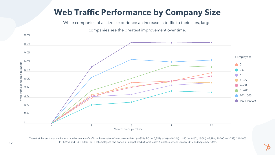### **Web Traffic Performance by Company Size**

While companies of all sizes experience an increase in traffic to their sites, large

companies see the greatest improvement over time.



These insights are based on the total monthly volume of traffic to the websites of companies with 0-1 (n=856), 2-5 (n= 5,352), 6-10 (n=10,306), 11-25 (n=3,467), 26-50 (n=5,398), 51-200 (n=3,733), 201-1000 (n=1,696), and 1001-10000+ (n=947) employees who owned a HubSpot product for at least 12 months between January 2019 and September 2021.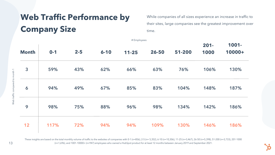While companies of all sizes experience an increase in traffic to their sites, large companies see the greatest improvement over

time.

## **Web Traffic Performance by Company Size**

|              |         |         |          |           |           |        | $201 -$ | 1001-  |
|--------------|---------|---------|----------|-----------|-----------|--------|---------|--------|
| <b>Month</b> | $0 - 1$ | $2 - 5$ | $6 - 10$ | $11 - 25$ | $26 - 50$ | 51-200 | 1000    | 10000+ |
| 3            | 59%     | 43%     | 62%      | 66%       | 63%       | 76%    | 106%    | 130%   |
| 6            | 94%     | 49%     | 67%      | 85%       | 83%       | 104%   | 148%    | 187%   |
| 9            | 98%     | 75%     | 88%      | 96%       | 98%       | 134%   | 142%    | 186%   |
| 12           | 117%    | 72%     | 94%      | 94%       | 109%      | 130%   | 146%    | 186%   |

These insights are based on the total monthly volume of traffic to the websites of companies with 0-1 (n=856), 2-5 (n= 5,352), 6-10 (n=10,306), 11-25 (n=3,467), 26-50 (n=5,398), 51-200 (n=3,733), 201-1000 (n=1,696), and 1001-10000+ (n=947) employees who owned a HubSpot product for at least 12 months between January 2019 and September 2021.

nth 1

# Employees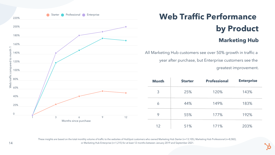## **Web Traffic Performance by Product Marketing Hub**

These insights are based on the total monthly volume of traffic to the websites of HubSpot customers who owned Marketing Hub Starter (n=13,105), Marketing Hub Professional (n=8,582), or Marketing Hub Enterprise (n=1,215) for at least 12 months between January 2019 and September 2021.



| <b>Month</b> | <b>Starter</b> | <b>Professional</b> | <b>Enterprise</b> |
|--------------|----------------|---------------------|-------------------|
| 3            | 25%            | 120%                | 143%              |
|              | 44%            | 149%                | 183%              |
| 9            | 55%            | 177%                | 192%              |
| 12           | 51%            | 171%                | 203%              |

All Marketing Hub customers see over 50% growth in traffic a year after purchase, but Enterprise customers see the greatest improvement.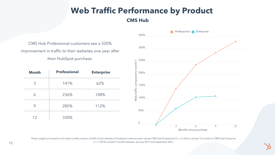These insights are based on the total monthly volume of traffic to the websites of HubSpot customers who owned CMS Hub Professional (n = 2,136) for at least 12 months or CMS Hub Enterprise (n = 139) for at least 9 months between January 2019 and September 2021.

#### **Web Traffic Performance by Product CMS Hub**





|              |                                                         |                   |                               | 350%           |  |
|--------------|---------------------------------------------------------|-------------------|-------------------------------|----------------|--|
|              | CMS Hub Professional customers see a 330%               |                   |                               | 300%           |  |
|              | improvement in traffic to their websites one year after |                   |                               |                |  |
|              | their HubSpot purchase.                                 |                   | $\overline{\phantom{0}}$      | 250%           |  |
| <b>Month</b> | <b>Professional</b>                                     | <b>Enterprise</b> |                               | 200%           |  |
| 3            | 141%                                                    | 62%               |                               | 150%           |  |
| 6            | 236%                                                    | 108%              | Web traffic compared to month | 100%           |  |
| 9            | 285%                                                    | 112%              |                               | 50%            |  |
| 12           | 330%                                                    |                   |                               | $\overline{0}$ |  |
|              |                                                         |                   |                               |                |  |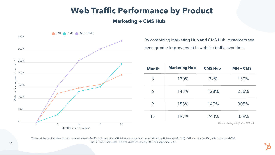

#### **Marketing + CMS Hub**

| <b>lonth</b>   | <b>Marketing Hub</b> | <b>CMS Hub</b> | $MH + CMS$ |
|----------------|----------------------|----------------|------------|
| $\overline{3}$ | 120%                 | 32%            | 150%       |
| 6              | 143%                 | 128%           | 256%       |
| 9              | 158%                 | 147%           | 305%       |
| 12             | 197%                 | 243%           | 338%       |

These insights are based on the total monthly volume of traffic to the websites of HubSpot customers who owned Marketing Hub only (n=21,311), CMS Hub only (n=526), or Marketing and CMS Hub (n=1,583) for at least 12 months between January 2019 and September 2021.

By combining Marketing Hub and CMS Hub, customers see even greater improvement in website traffic over time.

MH = Marketing Hub | CMS = CMS Hub

#### **Web Traffic Performance by Product**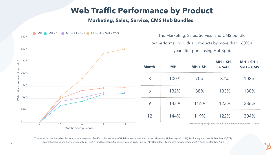#### **Web Traffic Performance by Product Marketing, Sales, Service, CMS Hub Bundles**

These insights are based on the total monthly volume of traffic to the websites of HubSpot customers who owned Marketing Hub only (n=11,241), Marketing and Sales Hub only (n=5,379), Marketing, Sales and Service Hub only (n= 6,067), and Marketing, Sales, Service and CMS Hub (n= 409) for at least 12 months between January 2019 and September 2021.

| onth           | <b>MH</b> | $MH + SH$ | $MH + SH$<br>$+$ SvH | $MH + SH +$<br>$SvH + CMS$ |
|----------------|-----------|-----------|----------------------|----------------------------|
| $\overline{3}$ | 100%      | 70%       | 87%                  | 108%                       |
| 6              | 132%      | 88%       | 103%                 | 180%                       |
| 9              | 143%      | 116%      | 123%                 | 286%                       |
| 12             | 144%      | 119%      | 122%                 | 304%                       |

MH = Marketing Hub | SH = Sales Hub | SvH = Service Hub | CMS = CMS Hub

The Marketing, Sales, Service, and CMS bundle outperforms individual products by more than 160% a year after purchasing HubSpot.

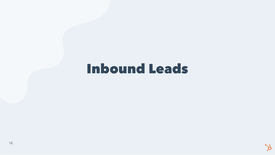## Inbound Leads



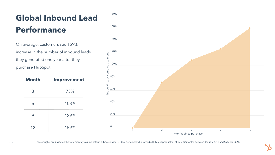## **Global Inbound Lead Performance**

On average, customers see 159% increase in the number of inbound leads they generated one year after they purchase HubSpot.

| <b>Month</b>            | <b>Improvement</b> |
|-------------------------|--------------------|
| 3                       | 73%                |
| $\overline{\mathsf{A}}$ | 108%               |
| 9                       | 129%               |
| 12                      | 159%               |



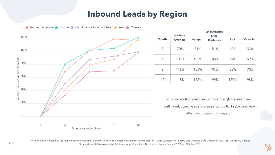#### **Inbound Leads by Region**

|      | <b>Northern</b> |               |                           |             |                |  |
|------|-----------------|---------------|---------------------------|-------------|----------------|--|
| onth | <b>Americas</b> | <b>Europe</b> | & the<br><b>Caribbean</b> | <b>Asia</b> | <b>Oceania</b> |  |
| 3    | 70%             | 81%           | 51%                       | 40%         | 33%            |  |
| 6    | 101%            | 102%          | 88%                       | 79%         | 69%            |  |
| 9    | 119%            | 105%          | 93%                       | 88%         | 70%            |  |
| 12   | 118%            | 122%          | 99%                       | 120%        | 98%            |  |

Companies from regions across the globe see their monthly inbound leads increase by up to 122% one year after purchasing HubSpot.



These insights are based on the total monthly volume of form submissions for customers in the Northern Americas (n= 18,250), Europe (n=18,260), Latin America & the Caribbean (n=2,155), Asia (n=2,484) and 20 Oceania (n=2,280) who owned a HubSpot product for at least 12 months between January 2019 and October 2021.

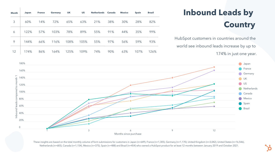

## **Inbound Leads by Country**

These insights are based on the total monthly volume of form submissions for customers in Japan (n=649), France (n=1,305), Germany (n=1,170), United Kingdom (n=3,042), United States (n=16,546), Netherlands (n=683), Canada (n=1,154), Mexico (n=375), Spain (n=488) and Brazil (n=454) who owned a HubSpot product for at least 12 months between January 2019 and October 2021.

| <b>Month</b> | Japan | <b>France</b> | <b>Germany</b> | <b>UK</b> | <b>US</b> | <b>Netherlands</b> | <b>Canada</b> | <b>Mexico</b> | <b>Spain</b> | <b>Brazil</b> |
|--------------|-------|---------------|----------------|-----------|-----------|--------------------|---------------|---------------|--------------|---------------|
| 3            | 60%   | 14%           | 72%            | 65%       | 63%       | 21%                | 38%           | 30%           | 28%          | 82%           |
| 6            | 122%  | 57%           | 103%           | 78%       | 89%       | 55%                | 91%           | 44%           | 35%          | 99%           |
| 9            | 144%  | 66%           | 116%           | 108%      | 105%      | 55%                | 97%           | 56%           | 59%          | 93%           |
| 12           | 174%  | 86%           | 164%           | 125%      | 109%      | 74%                | 90%           | 63%           | 107%         | 126%          |

HubSpot customers in countries around the world see inbound leads increase by up to 174% in just one year.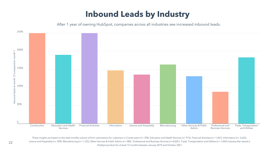

### **Inbound Leads by Industry**

After 1 year of owning HubSpot, companies across all industries see increased inbound leads.

These insights are based on the total monthly volume of form submissions for customers in Construction (n= 394), Education and Health Services (n= 973), Financial Activities (n= 1,067), Information (n= 2,625), Leisure and Hospitality (n= 289), Manufacturing (n= 1,122), Other Services & Public Admin (n= 280), Professional and Business Services (n=4,020), Trade, Transportation and Utilities (n= 1,043) industry that owned a HubSpot product for at least 12 months between January 2019 and October 2021.

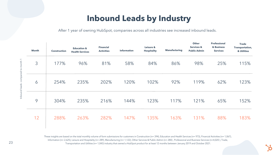After 1 year of owning HubSpot, companies across all industries see increased inbound leads.

These insights are based on the total monthly volume of form submissions for customers in Construction (n= 394), Education and Health Services (n= 973), Financial Activities (n= 1,067), Information (n= 2,625), Leisure and Hospitality (n= 289), Manufacturing (n= 1,122), Other Services & Public Admin (n= 280) , Professional and Business Services (n=4,020 ), Trade, Transportation and Utilities (n= 1,043) industry that owned a HubSpot product for at least 12 months between January 2019 and October 2021.

|                     | <b>Month</b> | <b>Construction</b> | <b>Education &amp;</b><br><b>Health Services</b> | <b>Financial</b><br><b>Activities</b> | <b>Information</b> | Leisure &<br><b>Hospitality</b> | <b>Manufacturing</b> | <b>Other</b><br><b>Services &amp;</b><br><b>Public Admin</b> | <b>Professional</b><br>& Business<br><b>Services</b> | <b>Trade</b><br><b>Transportation,</b><br>& Utilities |
|---------------------|--------------|---------------------|--------------------------------------------------|---------------------------------------|--------------------|---------------------------------|----------------------|--------------------------------------------------------------|------------------------------------------------------|-------------------------------------------------------|
| compared to month 1 | 3            | 177%                | 96%                                              | 81%                                   | 58%                | 84%                             | 86%                  | 98%                                                          | 25%                                                  | 115%                                                  |
| Inbound leads       | 6            | 254%                | 235%                                             | 202%                                  | 120%               | 102%                            | 92%                  | 119%                                                         | 62%                                                  | 123%                                                  |
|                     | 9            | 304%                | 235%                                             | 216%                                  | 144%               | 123%                            | 117%                 | 121%                                                         | 65%                                                  | 152%                                                  |
|                     | 12           | 288%                | 263%                                             | 282%                                  | 147%               | 135%                            | 163%                 | 131%                                                         | 88%                                                  | 183%                                                  |

#### **Inbound Leads by Industry**

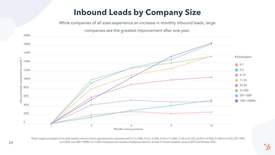## **Inbound Leads by Company Size**

While companies of all sizes experience an increase in monthly inbound leads, large

companies see the greatest improvement after one year.



These insights are based on the total monthly volume of form submissions for customers with 0-1 (n=938), 2-5 (n= 5,705), 6-10 (n=11,642), 11-25 (n=3,757), 26-50 (n=5,965), 51-200 (n=4,122), 201-1000 (n=1,855), and 1001-10000+ (n=1,032) employees who owned a HubSpot product for at least 12 months between January 2019 and October 2021.

- 
-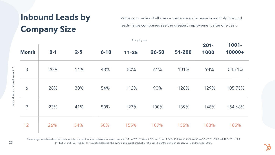While companies of all sizes experience an increase in monthly inbound leads, large companies see the greatest improvement after one year.

### **Inbound Leads by Company Size**

|              |         |         |          | $\mathbf{r}$ $\mathbf{r}$ $\mathbf{r}$ $\mathbf{r}$ $\mathbf{r}$ $\mathbf{r}$ $\mathbf{r}$ $\mathbf{r}$ $\mathbf{r}$ $\mathbf{r}$ $\mathbf{r}$ |           |        | $201 -$ | 1001-   |
|--------------|---------|---------|----------|------------------------------------------------------------------------------------------------------------------------------------------------|-----------|--------|---------|---------|
| <b>Month</b> | $0 - 1$ | $2 - 5$ | $6 - 10$ | $11 - 25$                                                                                                                                      | $26 - 50$ | 51-200 | 1000    | 10000+  |
| 3            | 20%     | 14%     | 43%      | 80%                                                                                                                                            | 61%       | 101%   | 94%     | 54.71%  |
| 6            | 28%     | 30%     | 54%      | 112%                                                                                                                                           | 90%       | 128%   | 129%    | 105.75% |
| 9            | 23%     | 41%     | 50%      | 127%                                                                                                                                           | 100%      | 139%   | 148%    | 154.68% |
| 12           | 26%     | 54%     | 50%      | 155%                                                                                                                                           | 107%      | 155%   | 183%    | 185%    |

These insights are based on the total monthly volume of form submissions for customers with 0-1 (n=938), 2-5 (n= 5,705), 6-10 (n=11,642), 11-25 (n=3,757), 26-50 (n=5,965), 51-200 (n=4,122), 201-1000 (n=1,855), and 1001-10000+ (n=1,032) employees who owned a HubSpot product for at least 12 months between January 2019 and October 2021.

 $\Xi$  .

# Employees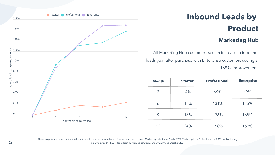## **Inbound Leads by Product Marketing Hub**

These insights are based on the total monthly volume of form submissions for customers who owned Marketing Hub Starter (n=14,777), Marketing Hub Professional (n=9,367), or Marketing Hub Enterprise (n=1,327) for at least 12 months between January 2019 and October 2021.



| <b>Month</b> | <b>Starter</b> | <b>Professional</b> | <b>Enterprise</b> |  |  |
|--------------|----------------|---------------------|-------------------|--|--|
| 3            | 4%             | 69%                 | 69%               |  |  |
| 6            | 18%            | 131%                | 135%              |  |  |
| 9            | 16%            | 136%                | 168%              |  |  |
| 12           | 24%            | 158%                | 169%              |  |  |

All Marketing Hub customers see an increase in inbound leads year after purchase with Enterprise customers seeing a 169% improvement.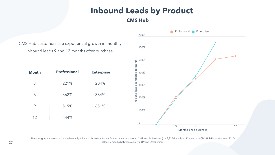These insights are based on the total monthly volume of form submissions for customers who owned CMS Hub Professional (n = 2,227) for at least 12 months or CMS Hub Enterprise (n = 172) for at least 9 months between January 2019 and October 2021.



# **CMS Hub**

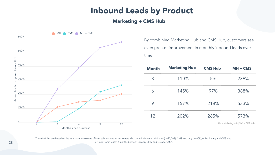#### **Marketing + CMS Hub**

| <b>lonth</b>   | <b>Marketing Hub</b> | <b>CMS Hub</b> | $MH + CMS$ |
|----------------|----------------------|----------------|------------|
| $\overline{3}$ | 110%                 | 5%             | 239%       |
| 6              | 145%                 | 97%            | 388%       |
| 9              | 157%                 | 218%           | 533%       |
| 12             | 202%                 | 265%           | 573%       |



These insights are based on the total monthly volume of form submissions for customers who owned Marketing Hub only (n=23,763), CMS Hub only (n=608), or Marketing and CMS Hub (n=1,600) for at least 12 months between January 2019 and October 2021.

By combining Marketing Hub and CMS Hub, customers see even greater improvement in monthly inbound leads over

MH = Marketing Hub | CMS = CMS Hub

#### **Inbound Leads by Product**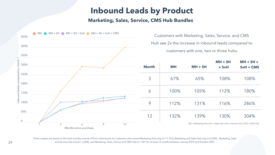#### **Inbound Leads by Product Marketing, Sales, Service, CMS Hub Bundles**

These insights are based on the total monthly volume of form submissions for customers who owned Marketing Hub only (n=11,316), Marketing and Sales Hub only (n=5,495), Marketing, Sales and Service Hub only (n= 6,828), and Marketing, Sales, Service and CMS Hub (n= 431) for at least 12 months between January 2019 and October 2021.

| onth           | <b>MH</b> | $MH + SH$ | $MH + SH$<br>+ SvH | $MH + SH +$<br>SvH + CMS |
|----------------|-----------|-----------|--------------------|--------------------------|
| $\overline{3}$ | 67%       | 65%       | 108%               | 108%                     |
| 6              | 100%      | 105%      | 112%               | 180%                     |
| 9              | 112%      | 131%      | 116%               | 286%                     |
| 12             | 132%      | 139%      | 130%               | 304%                     |

MH = Marketing Hub | SH = Sales Hub | SvH = Service Hub | CMS = CMS Hub

Customers with Marketing, Sales, Service, and CMS

- Hub see 2x the increase in inbound leads compared to
	- customers with one, two or three hubs.

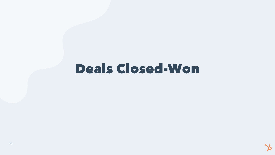## Deals Closed-Won



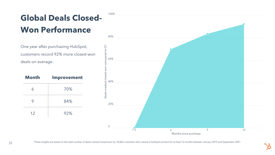## **Global Deals Closed-Won Performance**

One year after purchasing HubSpot, customers record 92% more closed-won deals on average.

| <b>Month</b> | <b>Improvement</b> |
|--------------|--------------------|
| 6            | 70%                |
| 9            | 84%                |
| 12           | 92%                |

100%



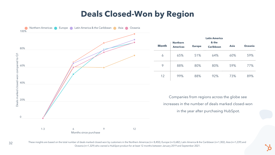#### **Deals Closed-Won by Region**

|      |                                    |               | <b>Latin America</b>      |             |                |
|------|------------------------------------|---------------|---------------------------|-------------|----------------|
| onth | <b>Northern</b><br><b>Americas</b> | <b>Europe</b> | & the<br><b>Caribbean</b> | <b>Asia</b> | <b>Oceania</b> |
| 6    | 65%                                | 51%           | 64%                       | 60%         | 59%            |
| 9    | 88%                                | 80%           | 80%                       | 59%         | 77%            |
| 12   | 99%                                | 88%           | 92%                       | 73%         | 89%            |

Companies from regions across the globe see increases in the number of deals marked closed-won in the year after purchasing HubSpot.





These insights are based on the total number of deals marked closed-won by customers in the Northern Americas (n= 8,450), Europe (n=5,682), Latin America & the Caribbean (n=1,302), Asia (n=1,239) and Oceania (n=1,329) who owned a HubSpot product for at least 12 months between January 2019 and September 2021.

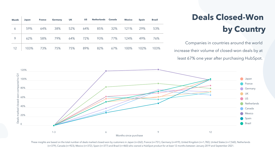## **Deals Closed-Won by Country**

| Month | Japan |                 |  | France Germany UK US Netherlands Canada |                  | <b>Mexico</b> Spain | <b>Brazil</b> |
|-------|-------|-----------------|--|-----------------------------------------|------------------|---------------------|---------------|
| 6     | 159%  | 64% 38% 52% 64% |  |                                         | 85% 32% 121% 29% |                     | 53%           |
| 9     | 62%   |                 |  | 58% 79% 64% 72% 93% 77% 124% 49%        |                  |                     | 76%           |
| 12    |       |                 |  | 103% 73% 75% 75% 89% 82% 67% 100%       |                  | 102% 103%           |               |

 $\mathbf{I}$ 

Companies in countries around the world increase their volume of closed-won deals by at least 67% one year after purchasing HubSpot.



These insights are based on the total number of deals marked closed-won by customers in Japan (n=262), France (n=751), Germany (n=419), United Kingdom (n=1,782), United States (n=7,560), Netherlands (n=379), Canada (n=923), Mexico (n=372), Spain (n=377) and Brazil (n=460) who owned a HubSpot product for at least 12 months between January 2019 and September 2021.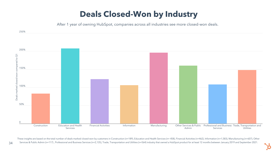

These insights are based on the total number of deals marked closed-won by customers in Construction (n=189), Education and Health Services (n= 458), Financial Activities (n=462), Information (n=1,583), Manufacturing (n=60 34 Services & Public Admin (n=117), Professional and Business Services (n=2,135), Trade, Transportation and Utilities (n=564) industry that owned a HubSpot product for at least 12 months between January 2019 and September



### **Deals Closed-Won by Industry**

After 1 year of owning HubSpot, companies across all industries see more closed-won deals.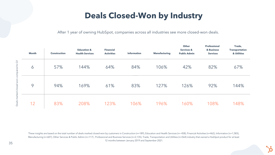These insights are based on the total number of deals marked closed-won by customers in Construction (n=189), Education and Health Services (n= 458), Financial Activities (n=462), Information (n=1,583), Manufacturing (n=607), Other Services & Public Admin (n=117) , Professional and Business Services (n=2,135), Trade, Transportation and Utilities (n=564) industry that owned a HubSpot product for at least 12 months between January 2019 and September 2021.

|                     | <b>Month</b> | <b>Construction</b> | <b>Education &amp;</b><br><b>Health Services</b> | <b>Financial</b><br><b>Activities</b> | <b>Information</b> | <b>Manufacturing</b> | <b>Other</b><br><b>Services &amp;</b><br><b>Public Admin</b> | <b>Professional</b><br>& Business<br><b>Services</b> | Trade,<br><b>Transportation</b><br>& Utilities |
|---------------------|--------------|---------------------|--------------------------------------------------|---------------------------------------|--------------------|----------------------|--------------------------------------------------------------|------------------------------------------------------|------------------------------------------------|
| 100t<br>compared    | 6            | 57%                 | 144%                                             | 64%                                   | 84%                | 106%                 | 42%                                                          | 82%                                                  | 67%                                            |
| won-                | 9            | 94%                 | 169%                                             | 61%                                   | 83%                | 127%                 | 126%                                                         | 92%                                                  | 144%                                           |
| Deals marked closed | 12           | 83%                 | 208%                                             | 123%                                  | 106%               | 196%                 | 160%                                                         | 108%                                                 | 148%                                           |

## **Deals Closed-Won by Industry**

After 1 year of owning HubSpot, companies across all industries see more closed-won deals.

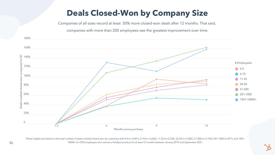### **Deals Closed-Won by Company Size**



These insights are based on the total number of deals marked closed-won by customers with 0-5 (n=3,401), 6-10 (n= 6,220), 11-25 (n=2,234), 26-50 (n=3,382), 51-200 (n=2,190), 201-1000 (n=871), and 1001- 10000+ (n=395) employees who owned a HubSpot product for at least 12 months between January 2019 and September 2021.

Companies of all sizes record at least 50% more closed-won deals after 12 months. That said,

companies with more than 200 employees see the greatest improvement over time.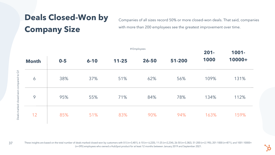|              |         |          | $201 -$   | 1001- |        |      |        |
|--------------|---------|----------|-----------|-------|--------|------|--------|
| <b>Month</b> | $0 - 5$ | $6 - 10$ | $11 - 25$ | 26-50 | 51-200 | 1000 | 10000+ |
| 6            | 38%     | 37%      | 51%       | 62%   | 56%    | 109% | 131%   |
| 9            | 95%     | 55%      | 71%       | 84%   | 78%    | 134% | 112%   |
| 12           | 85%     | 51%      | 83%       | 90%   | 94%    | 163% | 159%   |

Companies of all sizes record 50% or more closed-won deals. That said, companies with more than 200 employees see the greatest improvement over time.

## **Deals Closed-Won by Company Size**

These insights are based on the total number of deals marked closed-won by customers with 0-5 (n=3,401), 6-10 (n= 6,220), 11-25 (n=2,234), 26-50 (n=3,382), 51-200 (n=2,190), 201-1000 (n=871), and 1001-10000+ (n=395) employees who owned a HubSpot product for at least 12 months between January 2019 and September 2021.

# Employees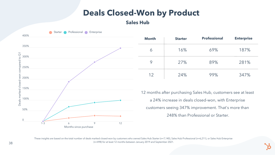#### **Deals Closed-Won by Product**

These insights are based on the total number of deals marked closed-won by customers who owned Sales Hub Starter (n=7,140), Sales Hub Professional (n=6,211), or Sales Hub Enterprise (n=498) for at least 12 months between January 2019 and September 2021.



| <b>Month</b> | <b>Starter</b> | <b>Professional</b> | <b>Enterprise</b> |
|--------------|----------------|---------------------|-------------------|
|              | 16%            | 69%                 | 187%              |
|              | 27%            | 89%                 | 281%              |
| 12           | 24%            | 99%                 | 347%              |

12 months after purchasing Sales Hub, customers see at least a 24% increase in deals closed-won, with Enterprise customers seeing 347% improvement. That's more than 248% than Professional or Starter.

#### **Sales Hub**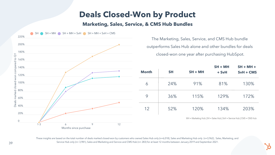The Marketing, Sales, Service, and CMS Hub bundle outperforms Sales Hub alone and other bundles for deals closed-won one year after purchasing HubSpot.



These insights are based on the total number of deals marked closed-won by customers who owned Sales Hub only (n=6,018), Sales and Marketing Hub only (n=3,962), Sales, Marketing, and Service Hub only (n= 3,981), Sales and Marketing and Service and CMS Hub (n= 283) for at least 12 months between January 2019 and September 2021.

| onth | <b>SH</b> | $SH + MH$ | $SH + MH$<br>+ SvH | $SH + MH +$<br>$SVH + CMS$ |
|------|-----------|-----------|--------------------|----------------------------|
| 6    | 24%       | 91%       | 81%                | 130%                       |
| 9    | 36%       | 115%      | 129%               | 172%                       |
| 12   | 52%       | 120%      | 134%               | 203%                       |

MH = Marketing Hub | SH = Sales Hub | SvH = Service Hub | CMS = CMS Hub

#### **Deals Closed-Won by Product Marketing, Sales, Service, & CMS Hub Bundles**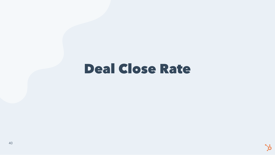## Deal Close Rate



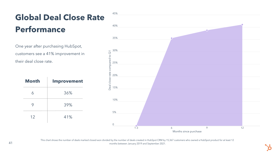

## **Global Deal Close Rate Performance**

One year after purchasing HubSpot, customers see a 41% improvement in their deal close rate.

| <b>Month</b> | <b>Improvement</b> |
|--------------|--------------------|
| 6            | 36%                |
| 9            | 39%                |
| 12           | 41%                |

This chart shows the number of deals marked closed-won divided by the number of deals created in HubSpot CRM by 15,367 customers who owned a HubSpot product for at least 12 months between January 2019 and September 2021.

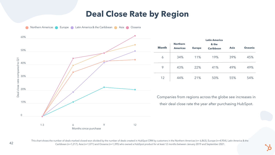

#### **Deal Close Rate by Region**

|      |                                    |               | <b>Latin America</b>      |             |                |
|------|------------------------------------|---------------|---------------------------|-------------|----------------|
| onth | <b>Northern</b><br><b>Americas</b> | <b>Europe</b> | & the<br><b>Caribbean</b> | <b>Asia</b> | <b>Oceania</b> |
| 6    | 34%                                | 11%           | 19%                       | 39%         | 45%            |
| 9    | 43%                                | 22%           | 41%                       | 49%         | 49%            |
| 12   | 44%                                | 21%           | 50%                       | 55%         | 54%            |

Companies from regions across the globe see increases in their deal close rate the year after purchasing HubSpot.

![](_page_41_Picture_8.jpeg)

![](_page_41_Figure_1.jpeg)

This chart shows the number of deals marked closed-won divided by the number of deals created in HubSpot CRM by customers in the Northern Americas (n= 6,863), Europe (n=4,954), Latin America & the Caribbean (n=1,217), Asia (n=1,071) and Oceania (n=1,395) who owned a HubSpot product for at least 12 months between January 2019 and September 2021.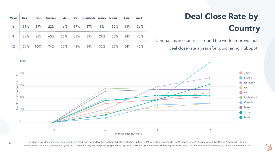100%

 $\Box$ 

![](_page_42_Figure_2.jpeg)

## **Deal Close Rate by Country**

mpanies in countries around the world improve their

deal close rate a year after purchasing HubSpot.

| <b>Month</b> | <b>Japan</b> |                           |  | France Germany UK US Netherlands Canada Mexico |                 | <b>Spain</b> | <b>Brazil</b> |                          |
|--------------|--------------|---------------------------|--|------------------------------------------------|-----------------|--------------|---------------|--------------------------|
|              |              |                           |  | 6   31% 39% 22% 16% 37% 57% 8% 52%             |                 | 13%          | 36%           |                          |
| $9$          |              |                           |  | 38% 36% 60% 25% 38% 55% 29% 55%                |                 | 38%          | 45%           | $\overline{\bigcirc}$ or |
|              |              | 12   50% 100% 74% 32% 43% |  |                                                | 54% 32% 55% 64% |              | 45%           |                          |

![](_page_42_Picture_9.jpeg)

This chart shows the number of deals marked closed-won divided by the number of deals created in HubSpot CRM by customers Japan (n=237), France (n=664), Germany (n=639), United Kingdom (n=1,566), United States (n=7,624), Netherlands (n=329), Canada (n=731), Mexico (n=367), Spain (n=376) and Brazil (n=460) who owned a HubSpot product for at least 12 months between January 2019 and September 2021.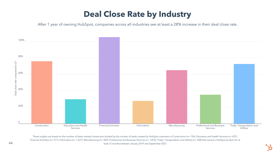![](_page_43_Picture_5.jpeg)

![](_page_43_Figure_2.jpeg)

### **Deal Close Rate by Industry**

After 1 year of owning HubSpot, companies across all industries see at least a 28% increase in their deal close rate.

These insights are based on the number of deals marked closed-won divided by the number of deals created by HubSpot customers in Construction (n= 154), Education and Health Services (n= 437), Financial Activities (n= 371), Information (n= 1,627), Manufacturing (n= 469), Professional and Business Services (n= 1,810), Trade, Transportation and Utilities (n= 438) that owned a HubSpot product for at least 12 months between January 2019 and September 2021.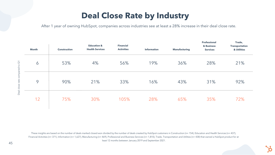![](_page_44_Picture_6.jpeg)

These insights are based on the number of deals marked closed-won divided by the number of deals created by HubSpot customers in Construction (n= 154), Education and Health Services (n= 437), Financial Activities (n= 371), Information (n= 1,627), Manufacturing (n= 469), Professional and Business Services (n= 1,810), Trade, Transportation and Utilities (n= 438) that owned a HubSpot product for at least 12 months between January 2019 and September 2021.

|                                                  | <b>Month</b> | <b>Construction</b> | <b>Education &amp;</b><br><b>Health Services</b> | <b>Financial</b><br><b>Activities</b> | <b>Information</b> | <b>Manufacturing</b> | <b>Professional</b><br>& Business<br><b>Services</b> | Trade,<br><b>Transportation</b><br>& Utilities |
|--------------------------------------------------|--------------|---------------------|--------------------------------------------------|---------------------------------------|--------------------|----------------------|------------------------------------------------------|------------------------------------------------|
| $\overline{O}$<br>compared to<br>Deal close rate | 6            | 53%                 | 4%                                               | 56%                                   | 19%                | 36%                  | 28%                                                  | 21%                                            |
|                                                  | 9            | 90%                 | 21%                                              | 33%                                   | 16%                | 43%                  | 31%                                                  | 92%                                            |
|                                                  | 12           | 75%                 | 30%                                              | 105%                                  | 28%                | 65%                  | 35%                                                  | 72%                                            |

#### **Deal Close Rate by Industry**

After 1 year of owning HubSpot, companies across industries see at least a 28% increase in their deal close rate.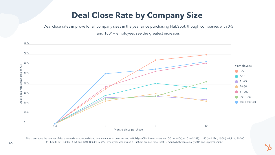## **Deal Close Rate by Company Size**

Deal close rates improve for all company sizes in the year since purchasing HubSpot, though companies with 0-5

and 1001+ employees see the greatest increases.

![](_page_45_Figure_3.jpeg)

This chart shows the number of deals marked closed-won divided by the number of deals created in HubSpot CRM by customers with 0-5 (n=3,404), 6-10 (n=5,388), 11-25 (n=2,224), 26-50 (n=1,913), 51-200 (n=1,728), 201-1000 (n=649), and 1001-10000+ (n=272) employees who owned a HubSpot product for at least 12 months between January 2019 and September 2021.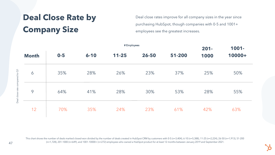Deal close rates improve for all company sizes in the year since purchasing HubSpot, though companies with 0-5 and 1001+ employees see the greatest increases.

## **Deal Close Rate by Company Size**

Deal clo se rate compare d to  $\overline{\text{O}}$ 

| # Employees  |       |          |           |       |        | $201 -$ | 1001-  |
|--------------|-------|----------|-----------|-------|--------|---------|--------|
| <b>Month</b> | $0-5$ | $6 - 10$ | $11 - 25$ | 26-50 | 51-200 | 1000    | 10000+ |
| 6            | 35%   | 28%      | 26%       | 23%   | 37%    | 25%     | 50%    |
| 9            | 64%   | 41%      | 28%       | 30%   | 53%    | 28%     | 55%    |
| 12           | 70%   | 35%      | 24%       | 23%   | 61%    | 42%     | 63%    |

This chart shows the number of deals marked closed-won divided by the number of deals created in HubSpot CRM by customers with 0-5 (n=3,404), 6-10 (n=5,388), 11-25 (n=2,224), 26-50 (n=1,913), 51-200 (n=1,728), 201-1000 (n=649), and 1001-10000+ (n=272) employees who owned a HubSpot product for at least 12 months between January 2019 and September 2021.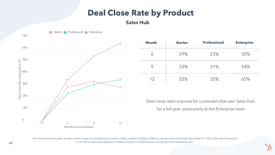![](_page_47_Picture_5.jpeg)

#### **Deal Close Rate by Product**

This chart shows the number of deals marked closed-won divided by the number of deals created in HubSpot CRM by customers who owned Sales Hub Starter (n=7,953), Sales Hub Professional (n=5,714), or Sales Hub Enterprise (n=504) for at least 12 months between January 2019 and September 2021.

![](_page_47_Figure_2.jpeg)

| <b>Month</b> | <b>Starter</b> | <b>Professional</b> | <b>Enterprise</b> |
|--------------|----------------|---------------------|-------------------|
|              | 29%            | 23%                 | 35%               |
|              | 33%            | 31%                 | 54%               |
| 12           | 32%            | 35%                 | 65%               |

Deal close rates improve for customers that own Sales Hub for a full year, particularly at the Enterprise level.

![](_page_47_Picture_9.jpeg)

#### **Sales Hub**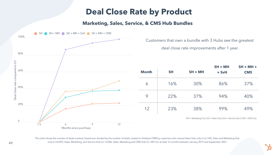Customers that own a bundle with 3 Hubs see the greatest deal close rate improvements after 1 year.

![](_page_48_Figure_2.jpeg)

| onth | <b>SH</b> | $SH + MH$ | $SH + MH$<br>+ SvH | $SH + MH +$<br><b>CMS</b> |
|------|-----------|-----------|--------------------|---------------------------|
| 6    | 16%       | 30%       | 86%                | 37%                       |
| 9    | 22%       | 37%       | 94%                | 40%                       |
| 12   | 23%       | 38%       | 99%                | 49%                       |

MH = Marketing Hub | SH = Sales Hub | SvH = Service Hub | CMS = CMS Hub

This chart shows the number of deals marked closed-won divided by the number of deals created in HubSpot CRM by customers who owned Sales Hub only (n=6,149), Sales and Marketing Hub only (n=4,059), Sales, Marketing, and Service Hub (n= 4,500), Sales, Marketing and CMS Hub (n= 481) for at least 12 months between January 2019 and September 2021.

#### **Marketing, Sales, Service, & CMS Hub Bundles**

#### **Deal Close Rate by Product**